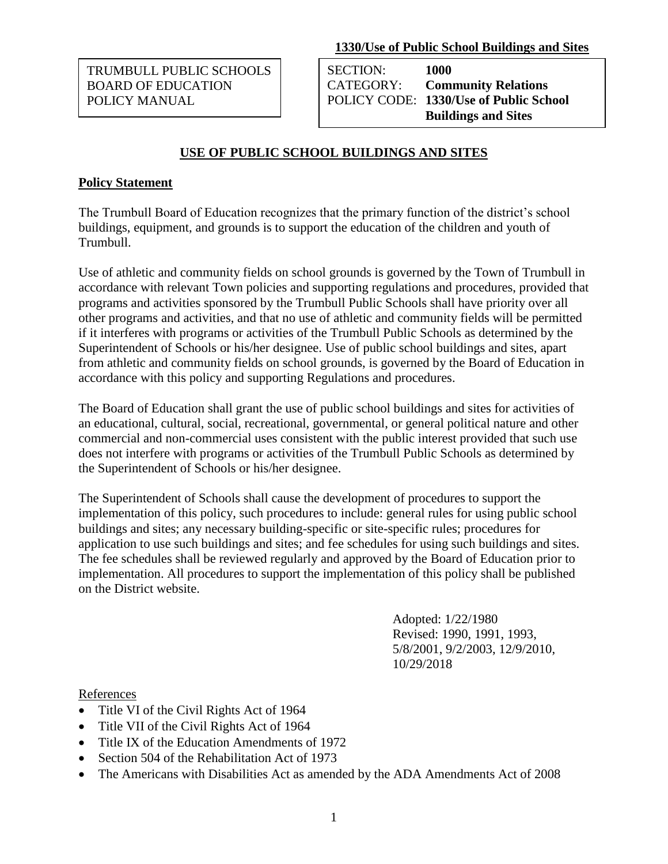**1330/Use of Public School Buildings and Sites** 

TRUMBULL PUBLIC SCHOOLS BOARD OF EDUCATION POLICY MANUAL

SECTION: **1000** CATEGORY: **Community Relations** POLICY CODE: **1330/Use of Public School Buildings and Sites** 

# **USE OF PUBLIC SCHOOL BUILDINGS AND SITES**

### **Policy Statement**

The Trumbull Board of Education recognizes that the primary function of the district's school buildings, equipment, and grounds is to support the education of the children and youth of Trumbull.

Use of athletic and community fields on school grounds is governed by the Town of Trumbull in accordance with relevant Town policies and supporting regulations and procedures, provided that programs and activities sponsored by the Trumbull Public Schools shall have priority over all other programs and activities, and that no use of athletic and community fields will be permitted if it interferes with programs or activities of the Trumbull Public Schools as determined by the Superintendent of Schools or his/her designee. Use of public school buildings and sites, apart from athletic and community fields on school grounds, is governed by the Board of Education in accordance with this policy and supporting Regulations and procedures.

The Board of Education shall grant the use of public school buildings and sites for activities of an educational, cultural, social, recreational, governmental, or general political nature and other commercial and non-commercial uses consistent with the public interest provided that such use does not interfere with programs or activities of the Trumbull Public Schools as determined by the Superintendent of Schools or his/her designee.

The Superintendent of Schools shall cause the development of procedures to support the implementation of this policy, such procedures to include: general rules for using public school buildings and sites; any necessary building-specific or site-specific rules; procedures for application to use such buildings and sites; and fee schedules for using such buildings and sites. The fee schedules shall be reviewed regularly and approved by the Board of Education prior to implementation. All procedures to support the implementation of this policy shall be published on the District website.

> Adopted: 1/22/1980 Revised: 1990, 1991, 1993, 5/8/2001, 9/2/2003, 12/9/2010, 10/29/2018

#### **References**

- Title VI of the Civil Rights Act of 1964
- Title VII of the Civil Rights Act of 1964
- Title IX of the Education Amendments of 1972
- Section 504 of the Rehabilitation Act of 1973
- The Americans with Disabilities Act as amended by the ADA Amendments Act of 2008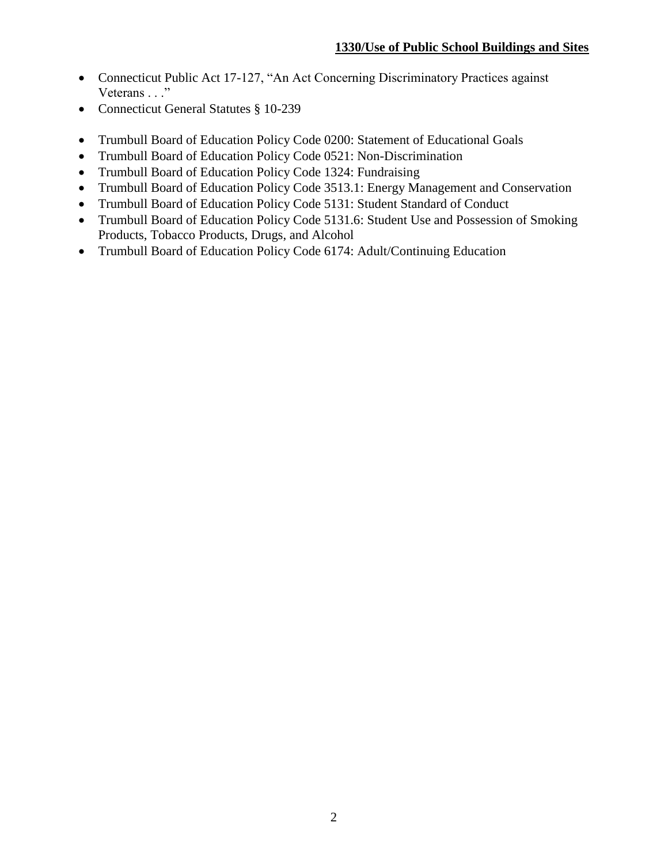- Connecticut Public Act 17-127, "An Act Concerning Discriminatory Practices against Veterans . . ."
- Connecticut General Statutes § 10-239
- Trumbull Board of Education Policy Code 0200: Statement of Educational Goals
- Trumbull Board of Education Policy Code 0521: Non-Discrimination
- Trumbull Board of Education Policy Code 1324: Fundraising
- Trumbull Board of Education Policy Code 3513.1: Energy Management and Conservation
- Trumbull Board of Education Policy Code 5131: Student Standard of Conduct
- Trumbull Board of Education Policy Code 5131.6: Student Use and Possession of Smoking Products, Tobacco Products, Drugs, and Alcohol
- Trumbull Board of Education Policy Code 6174: Adult/Continuing Education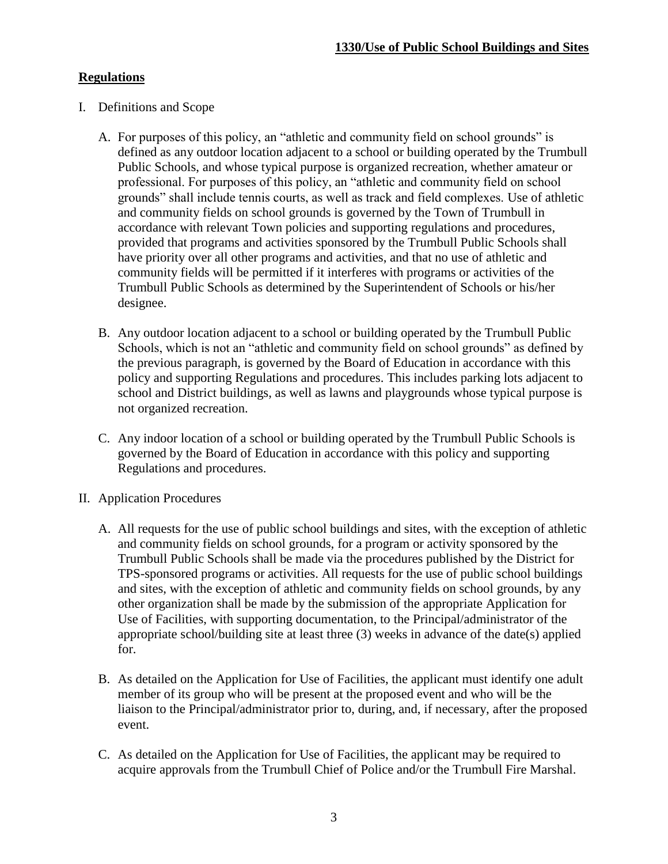### **Regulations**

- I. Definitions and Scope
	- A. For purposes of this policy, an "athletic and community field on school grounds" is defined as any outdoor location adjacent to a school or building operated by the Trumbull Public Schools, and whose typical purpose is organized recreation, whether amateur or professional. For purposes of this policy, an "athletic and community field on school grounds" shall include tennis courts, as well as track and field complexes. Use of athletic and community fields on school grounds is governed by the Town of Trumbull in accordance with relevant Town policies and supporting regulations and procedures, provided that programs and activities sponsored by the Trumbull Public Schools shall have priority over all other programs and activities, and that no use of athletic and community fields will be permitted if it interferes with programs or activities of the Trumbull Public Schools as determined by the Superintendent of Schools or his/her designee.
	- B. Any outdoor location adjacent to a school or building operated by the Trumbull Public Schools, which is not an "athletic and community field on school grounds" as defined by the previous paragraph, is governed by the Board of Education in accordance with this policy and supporting Regulations and procedures. This includes parking lots adjacent to school and District buildings, as well as lawns and playgrounds whose typical purpose is not organized recreation.
	- C. Any indoor location of a school or building operated by the Trumbull Public Schools is governed by the Board of Education in accordance with this policy and supporting Regulations and procedures.
- II. Application Procedures
	- A. All requests for the use of public school buildings and sites, with the exception of athletic and community fields on school grounds, for a program or activity sponsored by the Trumbull Public Schools shall be made via the procedures published by the District for TPS-sponsored programs or activities. All requests for the use of public school buildings and sites, with the exception of athletic and community fields on school grounds, by any other organization shall be made by the submission of the appropriate Application for Use of Facilities, with supporting documentation, to the Principal/administrator of the appropriate school/building site at least three (3) weeks in advance of the date(s) applied for.
	- B. As detailed on the Application for Use of Facilities, the applicant must identify one adult member of its group who will be present at the proposed event and who will be the liaison to the Principal/administrator prior to, during, and, if necessary, after the proposed event.
	- C. As detailed on the Application for Use of Facilities, the applicant may be required to acquire approvals from the Trumbull Chief of Police and/or the Trumbull Fire Marshal.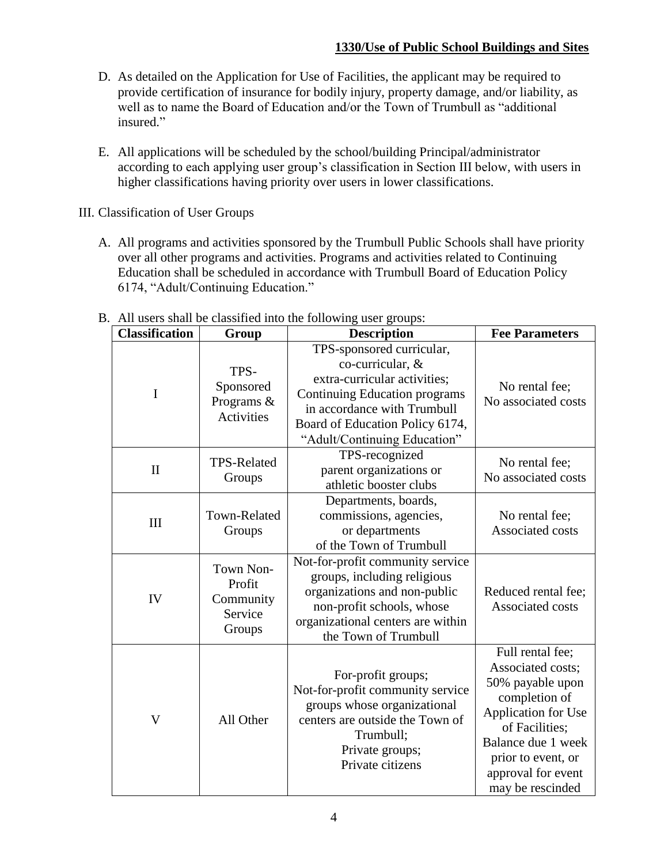- D. As detailed on the Application for Use of Facilities, the applicant may be required to provide certification of insurance for bodily injury, property damage, and/or liability, as well as to name the Board of Education and/or the Town of Trumbull as "additional insured."
- E. All applications will be scheduled by the school/building Principal/administrator according to each applying user group's classification in Section III below, with users in higher classifications having priority over users in lower classifications.

III. Classification of User Groups

 A. All programs and activities sponsored by the Trumbull Public Schools shall have priority over all other programs and activities. Programs and activities related to Continuing Education shall be scheduled in accordance with Trumbull Board of Education Policy 6174, "Adult/Continuing Education."

| <b>Classification</b> | Group                                                 | <b>Description</b>                                                                                                                                                                                                      | <b>Fee Parameters</b>                                                                                                                                                                                     |
|-----------------------|-------------------------------------------------------|-------------------------------------------------------------------------------------------------------------------------------------------------------------------------------------------------------------------------|-----------------------------------------------------------------------------------------------------------------------------------------------------------------------------------------------------------|
| I                     | TPS-<br>Sponsored<br>Programs &<br><b>Activities</b>  | TPS-sponsored curricular,<br>co-curricular, &<br>extra-curricular activities;<br><b>Continuing Education programs</b><br>in accordance with Trumbull<br>Board of Education Policy 6174,<br>"Adult/Continuing Education" | No rental fee;<br>No associated costs                                                                                                                                                                     |
| $\mathbf{I}$          | <b>TPS-Related</b><br>Groups                          | TPS-recognized<br>parent organizations or<br>athletic booster clubs                                                                                                                                                     | No rental fee;<br>No associated costs                                                                                                                                                                     |
| III                   | Town-Related<br>Groups                                | Departments, boards,<br>commissions, agencies,<br>or departments<br>of the Town of Trumbull                                                                                                                             | No rental fee;<br>Associated costs                                                                                                                                                                        |
| IV                    | Town Non-<br>Profit<br>Community<br>Service<br>Groups | Not-for-profit community service<br>groups, including religious<br>organizations and non-public<br>non-profit schools, whose<br>organizational centers are within<br>the Town of Trumbull                               | Reduced rental fee;<br>Associated costs                                                                                                                                                                   |
| V                     | All Other                                             | For-profit groups;<br>Not-for-profit community service<br>groups whose organizational<br>centers are outside the Town of<br>Trumbull;<br>Private groups;<br>Private citizens                                            | Full rental fee;<br>Associated costs;<br>50% payable upon<br>completion of<br>Application for Use<br>of Facilities;<br>Balance due 1 week<br>prior to event, or<br>approval for event<br>may be rescinded |

## B. All users shall be classified into the following user groups: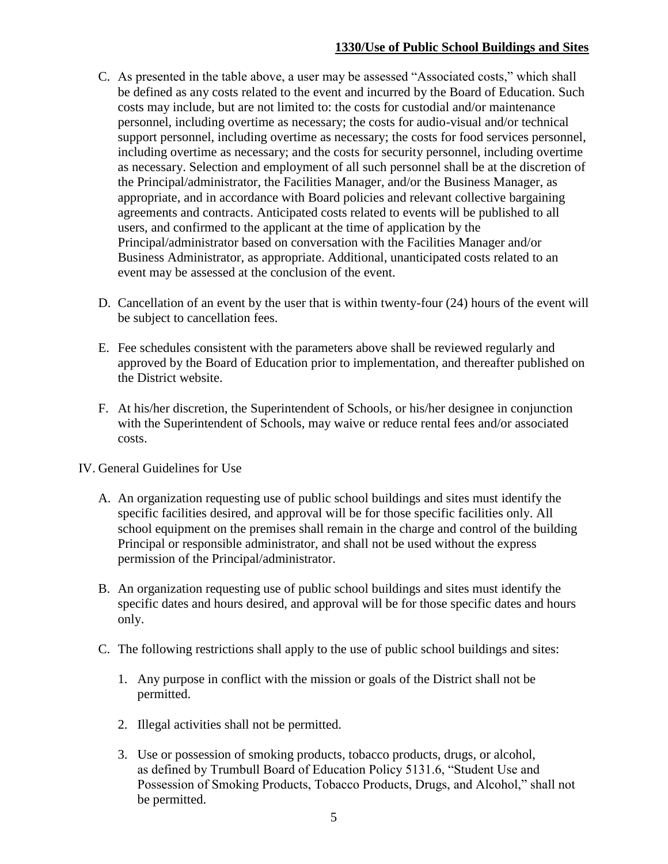- C. As presented in the table above, a user may be assessed "Associated costs," which shall be defined as any costs related to the event and incurred by the Board of Education. Such costs may include, but are not limited to: the costs for custodial and/or maintenance personnel, including overtime as necessary; the costs for audio-visual and/or technical support personnel, including overtime as necessary; the costs for food services personnel, including overtime as necessary; and the costs for security personnel, including overtime as necessary. Selection and employment of all such personnel shall be at the discretion of the Principal/administrator, the Facilities Manager, and/or the Business Manager, as appropriate, and in accordance with Board policies and relevant collective bargaining agreements and contracts. Anticipated costs related to events will be published to all users, and confirmed to the applicant at the time of application by the Principal/administrator based on conversation with the Facilities Manager and/or Business Administrator, as appropriate. Additional, unanticipated costs related to an event may be assessed at the conclusion of the event.
- D. Cancellation of an event by the user that is within twenty-four (24) hours of the event will be subject to cancellation fees.
- E. Fee schedules consistent with the parameters above shall be reviewed regularly and approved by the Board of Education prior to implementation, and thereafter published on the District website.
- F. At his/her discretion, the Superintendent of Schools, or his/her designee in conjunction with the Superintendent of Schools, may waive or reduce rental fees and/or associated costs.
- IV. General Guidelines for Use
	- A. An organization requesting use of public school buildings and sites must identify the specific facilities desired, and approval will be for those specific facilities only. All school equipment on the premises shall remain in the charge and control of the building Principal or responsible administrator, and shall not be used without the express permission of the Principal/administrator.
	- B. An organization requesting use of public school buildings and sites must identify the specific dates and hours desired, and approval will be for those specific dates and hours only.
	- C. The following restrictions shall apply to the use of public school buildings and sites:
		- 1. Any purpose in conflict with the mission or goals of the District shall not be permitted.
		- 2. Illegal activities shall not be permitted.
		- 3. Use or possession of smoking products, tobacco products, drugs, or alcohol, as defined by Trumbull Board of Education Policy 5131.6, "Student Use and Possession of Smoking Products, Tobacco Products, Drugs, and Alcohol," shall not be permitted.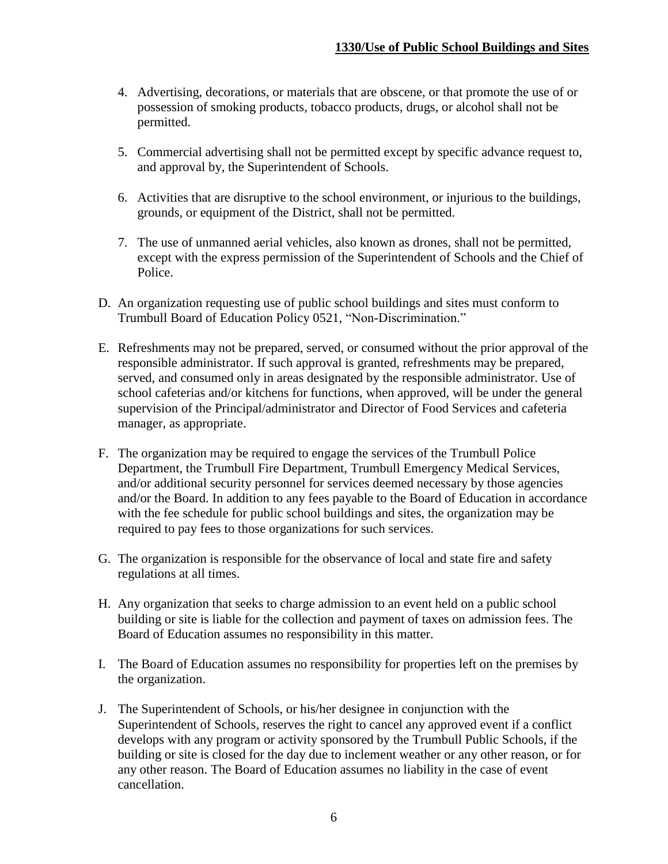- 4. Advertising, decorations, or materials that are obscene, or that promote the use of or possession of smoking products, tobacco products, drugs, or alcohol shall not be permitted.
- 5. Commercial advertising shall not be permitted except by specific advance request to, and approval by, the Superintendent of Schools.
- 6. Activities that are disruptive to the school environment, or injurious to the buildings, grounds, or equipment of the District, shall not be permitted.
- 7. The use of unmanned aerial vehicles, also known as drones, shall not be permitted, except with the express permission of the Superintendent of Schools and the Chief of Police.
- D. An organization requesting use of public school buildings and sites must conform to Trumbull Board of Education Policy 0521, "Non-Discrimination."
- E. Refreshments may not be prepared, served, or consumed without the prior approval of the responsible administrator. If such approval is granted, refreshments may be prepared, served, and consumed only in areas designated by the responsible administrator. Use of school cafeterias and/or kitchens for functions, when approved, will be under the general supervision of the Principal/administrator and Director of Food Services and cafeteria manager, as appropriate.
- F. The organization may be required to engage the services of the Trumbull Police Department, the Trumbull Fire Department, Trumbull Emergency Medical Services, and/or additional security personnel for services deemed necessary by those agencies and/or the Board. In addition to any fees payable to the Board of Education in accordance with the fee schedule for public school buildings and sites, the organization may be required to pay fees to those organizations for such services.
- G. The organization is responsible for the observance of local and state fire and safety regulations at all times.
- H. Any organization that seeks to charge admission to an event held on a public school building or site is liable for the collection and payment of taxes on admission fees. The Board of Education assumes no responsibility in this matter.
- I. The Board of Education assumes no responsibility for properties left on the premises by the organization.
- J. The Superintendent of Schools, or his/her designee in conjunction with the Superintendent of Schools, reserves the right to cancel any approved event if a conflict develops with any program or activity sponsored by the Trumbull Public Schools, if the building or site is closed for the day due to inclement weather or any other reason, or for any other reason. The Board of Education assumes no liability in the case of event cancellation.